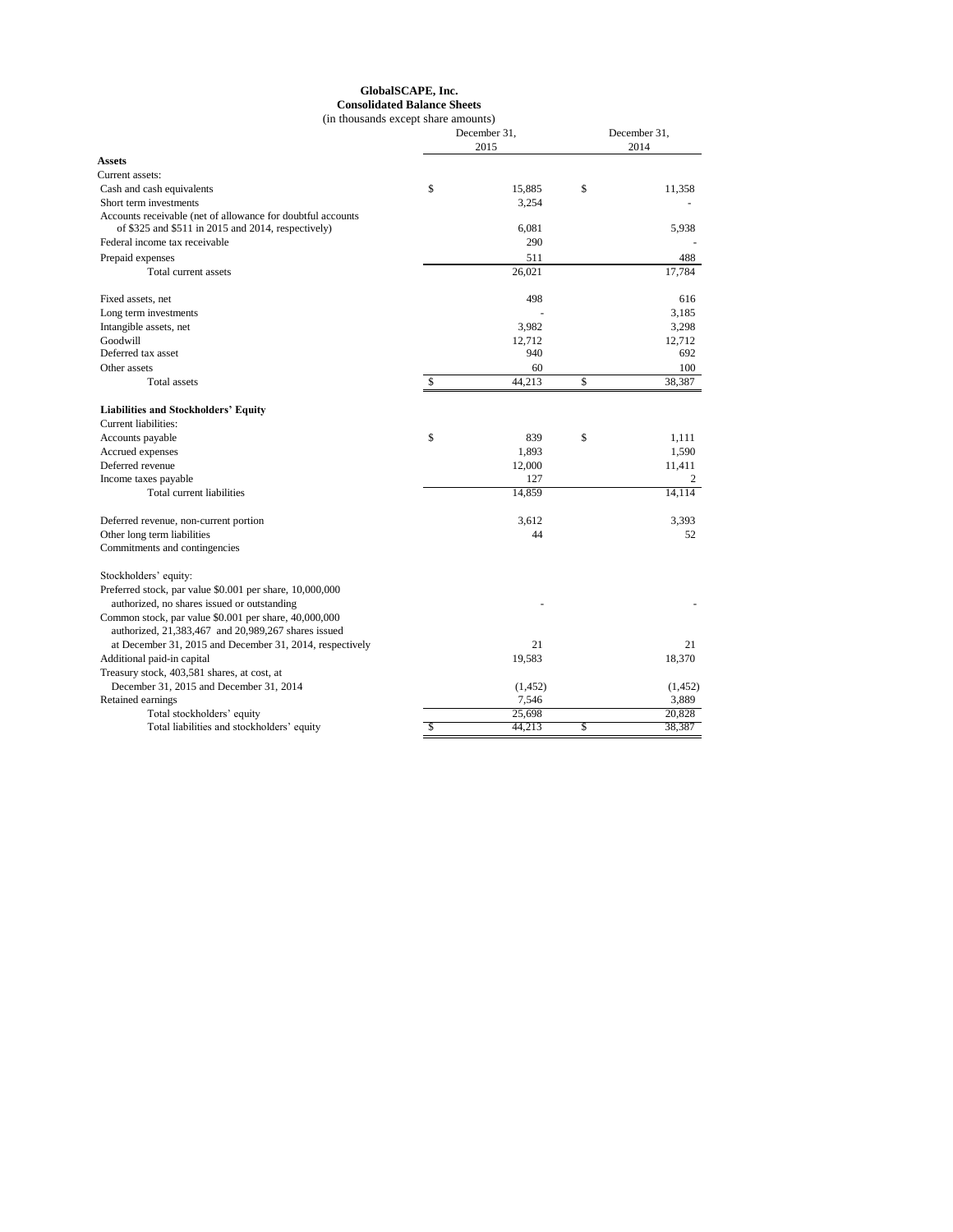## **GlobalSCAPE, Inc. Consolidated Balance Sheets**

| (in thousands except share amounts)                                                                               |                      |          |              |          |  |
|-------------------------------------------------------------------------------------------------------------------|----------------------|----------|--------------|----------|--|
|                                                                                                                   | December 31,<br>2015 |          | December 31, |          |  |
|                                                                                                                   |                      |          | 2014         |          |  |
| <b>Assets</b>                                                                                                     |                      |          |              |          |  |
| Current assets:                                                                                                   |                      |          |              |          |  |
| Cash and cash equivalents                                                                                         | \$                   | 15,885   | \$           | 11,358   |  |
| Short term investments                                                                                            |                      | 3,254    |              |          |  |
| Accounts receivable (net of allowance for doubtful accounts<br>of \$325 and \$511 in 2015 and 2014, respectively) |                      | 6,081    |              | 5,938    |  |
| Federal income tax receivable                                                                                     |                      | 290      |              |          |  |
| Prepaid expenses                                                                                                  |                      | 511      |              | 488      |  |
| Total current assets                                                                                              |                      | 26,021   |              | 17,784   |  |
| Fixed assets, net                                                                                                 |                      | 498      |              | 616      |  |
| Long term investments                                                                                             |                      |          |              | 3,185    |  |
| Intangible assets, net                                                                                            |                      | 3,982    |              | 3,298    |  |
| Goodwill                                                                                                          |                      | 12,712   |              | 12,712   |  |
| Deferred tax asset                                                                                                |                      | 940      |              | 692      |  |
| Other assets                                                                                                      |                      | 60       |              | 100      |  |
| Total assets                                                                                                      | \$                   | 44,213   | \$           | 38,387   |  |
| <b>Liabilities and Stockholders' Equity</b>                                                                       |                      |          |              |          |  |
| Current liabilities:                                                                                              |                      |          |              |          |  |
| Accounts payable                                                                                                  | \$                   | 839      | \$           | 1.111    |  |
| Accrued expenses                                                                                                  |                      | 1,893    |              | 1,590    |  |
| Deferred revenue                                                                                                  |                      | 12,000   |              | 11,411   |  |
| Income taxes payable                                                                                              |                      | 127      |              | 2        |  |
| Total current liabilities                                                                                         |                      | 14,859   |              | 14,114   |  |
| Deferred revenue, non-current portion                                                                             |                      | 3.612    |              | 3.393    |  |
| Other long term liabilities                                                                                       |                      | 44       |              | 52       |  |
| Commitments and contingencies                                                                                     |                      |          |              |          |  |
| Stockholders' equity:                                                                                             |                      |          |              |          |  |
| Preferred stock, par value \$0.001 per share, 10,000,000<br>authorized, no shares issued or outstanding           |                      |          |              |          |  |
| Common stock, par value \$0.001 per share, 40,000,000<br>authorized, 21,383,467 and 20,989,267 shares issued      |                      |          |              |          |  |
| at December 31, 2015 and December 31, 2014, respectively                                                          |                      | 21       |              | 21       |  |
| Additional paid-in capital                                                                                        |                      | 19,583   |              | 18,370   |  |
| Treasury stock, 403,581 shares, at cost, at                                                                       |                      |          |              |          |  |
| December 31, 2015 and December 31, 2014                                                                           |                      | (1, 452) |              | (1, 452) |  |
| Retained earnings                                                                                                 |                      | 7,546    |              | 3,889    |  |
| Total stockholders' equity                                                                                        |                      | 25,698   |              | 20,828   |  |
| Total liabilities and stockholders' equity                                                                        | \$                   | 44,213   | \$           | 38,387   |  |
|                                                                                                                   |                      |          |              |          |  |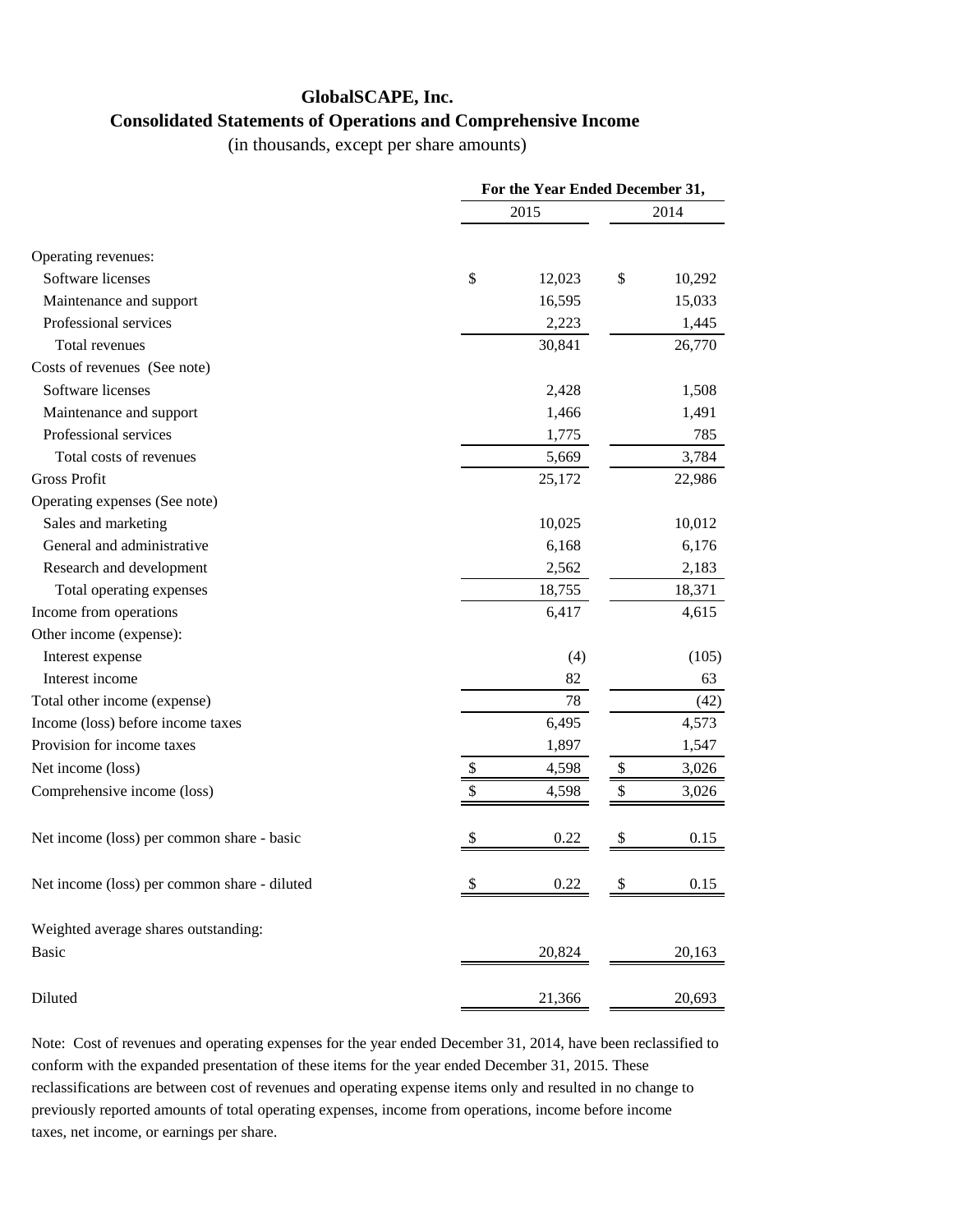## **GlobalSCAPE, Inc. Consolidated Statements of Operations and Comprehensive Income**

(in thousands, except per share amounts)

|                                              | For the Year Ended December 31, |    |        |  |
|----------------------------------------------|---------------------------------|----|--------|--|
|                                              | 2015                            |    |        |  |
| Operating revenues:                          |                                 |    |        |  |
| Software licenses                            | \$<br>12,023                    | \$ | 10,292 |  |
| Maintenance and support                      | 16,595                          |    | 15,033 |  |
| Professional services                        | 2,223                           |    | 1,445  |  |
| Total revenues                               | 30,841                          |    | 26,770 |  |
| Costs of revenues (See note)                 |                                 |    |        |  |
| Software licenses                            | 2,428                           |    | 1,508  |  |
| Maintenance and support                      | 1,466                           |    | 1,491  |  |
| Professional services                        | 1,775                           |    | 785    |  |
| Total costs of revenues                      | 5,669                           |    | 3,784  |  |
| <b>Gross Profit</b>                          | 25,172                          |    | 22,986 |  |
| Operating expenses (See note)                |                                 |    |        |  |
| Sales and marketing                          | 10,025                          |    | 10,012 |  |
| General and administrative                   | 6,168                           |    | 6,176  |  |
| Research and development                     | 2,562                           |    | 2,183  |  |
| Total operating expenses                     | 18,755                          |    | 18,371 |  |
| Income from operations                       | 6,417                           |    | 4,615  |  |
| Other income (expense):                      |                                 |    |        |  |
| Interest expense                             | (4)                             |    | (105)  |  |
| Interest income                              | 82                              |    | 63     |  |
| Total other income (expense)                 | 78                              |    | (42)   |  |
| Income (loss) before income taxes            | 6,495                           |    | 4,573  |  |
| Provision for income taxes                   | 1,897                           |    | 1,547  |  |
| Net income (loss)                            | \$<br>4,598                     | \$ | 3,026  |  |
| Comprehensive income (loss)                  | \$<br>4,598                     | \$ | 3,026  |  |
| Net income (loss) per common share - basic   | 0.22                            | \$ | 0.15   |  |
| Net income (loss) per common share - diluted | \$<br>0.22                      |    | 0.15   |  |
| Weighted average shares outstanding:         |                                 |    |        |  |
| <b>Basic</b>                                 | 20,824                          |    | 20,163 |  |
| Diluted                                      | 21,366                          |    | 20,693 |  |

Note: Cost of revenues and operating expenses for the year ended December 31, 2014, have been reclassified to conform with the expanded presentation of these items for the year ended December 31, 2015. These reclassifications are between cost of revenues and operating expense items only and resulted in no change to previously reported amounts of total operating expenses, income from operations, income before income taxes, net income, or earnings per share.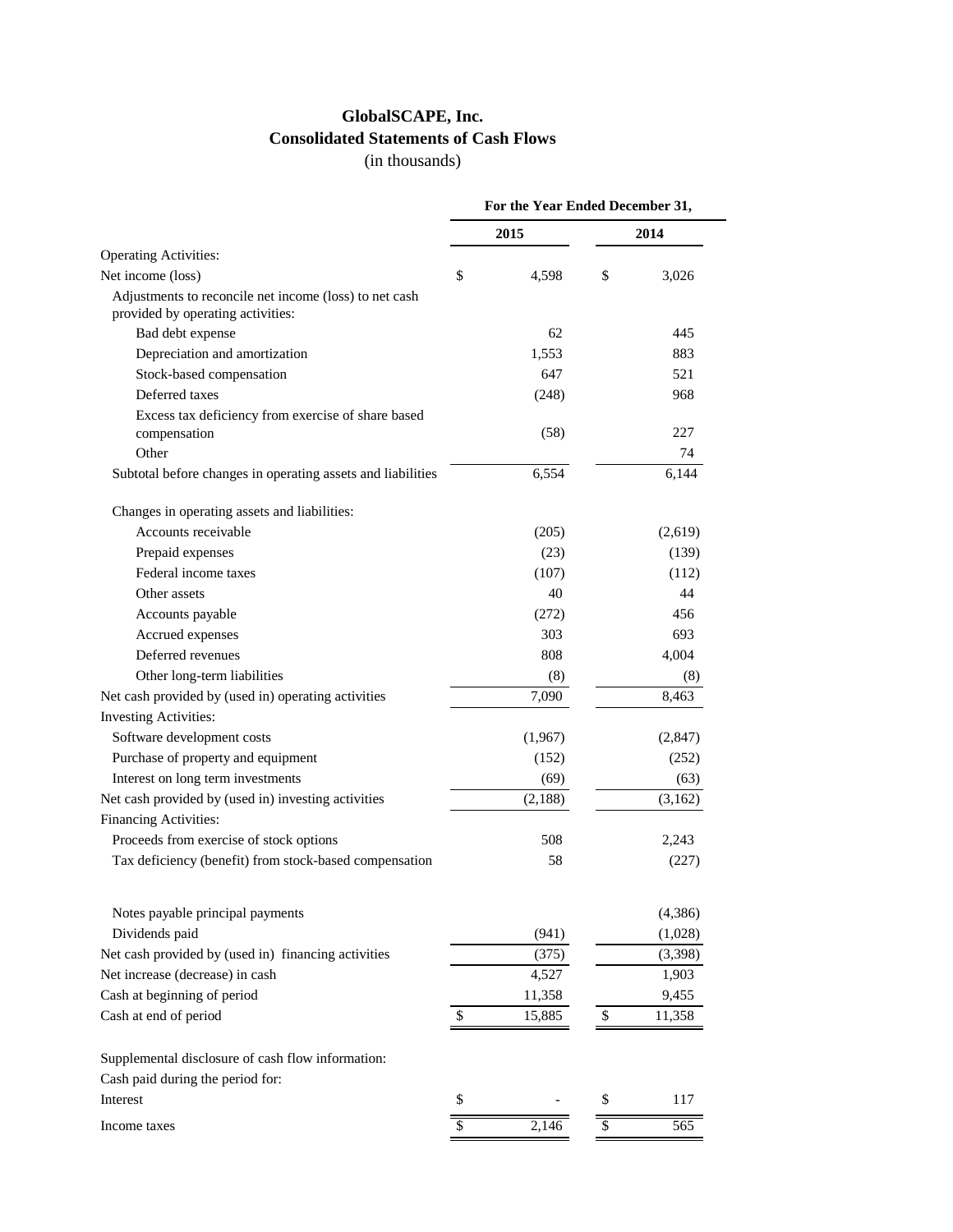## **GlobalSCAPE, Inc. Consolidated Statements of Cash Flows**

(in thousands)

|                                                                                             | For the Year Ended December 31, |    |          |
|---------------------------------------------------------------------------------------------|---------------------------------|----|----------|
|                                                                                             | 2015                            |    | 2014     |
| <b>Operating Activities:</b>                                                                |                                 |    |          |
| Net income (loss)                                                                           | \$<br>4,598                     | \$ | 3,026    |
| Adjustments to reconcile net income (loss) to net cash<br>provided by operating activities: |                                 |    |          |
| Bad debt expense                                                                            | 62                              |    | 445      |
| Depreciation and amortization                                                               | 1,553                           |    | 883      |
| Stock-based compensation                                                                    | 647                             |    | 521      |
| Deferred taxes                                                                              | (248)                           |    | 968      |
| Excess tax deficiency from exercise of share based<br>compensation                          | (58)                            |    | 227      |
| Other                                                                                       |                                 |    | 74       |
| Subtotal before changes in operating assets and liabilities                                 | 6,554                           |    | 6,144    |
| Changes in operating assets and liabilities:                                                |                                 |    |          |
| Accounts receivable                                                                         | (205)                           |    | (2,619)  |
| Prepaid expenses                                                                            | (23)                            |    | (139)    |
| Federal income taxes                                                                        | (107)                           |    | (112)    |
| Other assets                                                                                | 40                              |    | 44       |
| Accounts payable                                                                            | (272)                           |    | 456      |
| Accrued expenses                                                                            | 303                             |    | 693      |
| Deferred revenues                                                                           | 808                             |    | 4,004    |
| Other long-term liabilities                                                                 | (8)                             |    | (8)      |
| Net cash provided by (used in) operating activities                                         | 7,090                           |    | 8,463    |
| <b>Investing Activities:</b>                                                                |                                 |    |          |
| Software development costs                                                                  | (1,967)                         |    | (2, 847) |
| Purchase of property and equipment                                                          | (152)                           |    | (252)    |
| Interest on long term investments                                                           | (69)                            |    | (63)     |
| Net cash provided by (used in) investing activities                                         | (2,188)                         |    | (3,162)  |
| Financing Activities:                                                                       |                                 |    |          |
| Proceeds from exercise of stock options                                                     | 508                             |    | 2,243    |
| Tax deficiency (benefit) from stock-based compensation                                      | 58                              |    | (227)    |
| Notes payable principal payments                                                            |                                 |    | (4, 386) |
| Dividends paid                                                                              | (941)                           |    | (1,028)  |
| Net cash provided by (used in) financing activities                                         | (375)                           |    | (3,398)  |
| Net increase (decrease) in cash                                                             | 4,527                           |    | 1,903    |
| Cash at beginning of period                                                                 | 11,358                          |    | 9,455    |
| Cash at end of period                                                                       | \$<br>15,885                    | \$ | 11,358   |
|                                                                                             |                                 |    |          |
| Supplemental disclosure of cash flow information:                                           |                                 |    |          |
| Cash paid during the period for:                                                            |                                 |    |          |
| Interest                                                                                    | \$                              | \$ | 117      |
|                                                                                             |                                 |    |          |